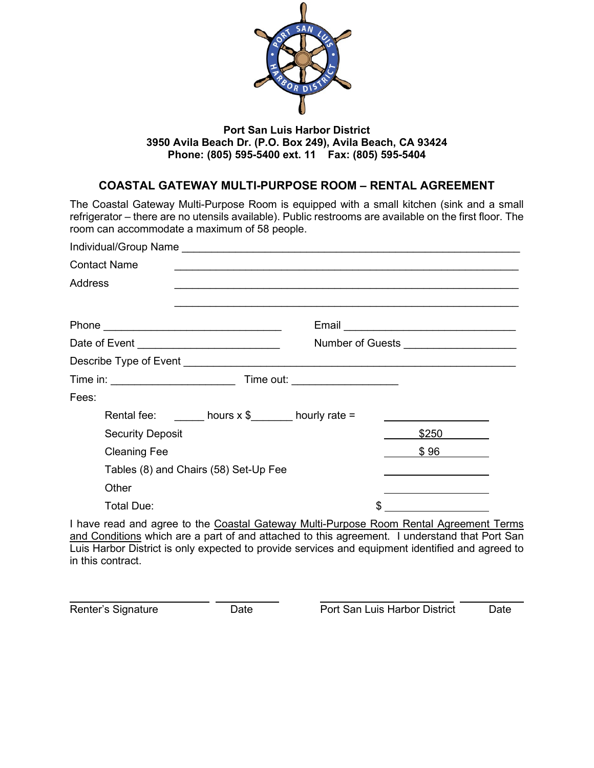

#### **Port San Luis Harbor District 3950 Avila Beach Dr. (P.O. Box 249), Avila Beach, CA 93424 Phone: (805) 595-5400 ext. 11 Fax: (805) 595-5404**

### **COASTAL GATEWAY MULTI-PURPOSE ROOM – RENTAL AGREEMENT**

The Coastal Gateway Multi-Purpose Room is equipped with a small kitchen (sink and a small refrigerator – there are no utensils available). Public restrooms are available on the first floor. The room can accommodate a maximum of 58 people.

| <b>Contact Name</b>                                                                    |                                                           |  |  |                                                                                 |  |
|----------------------------------------------------------------------------------------|-----------------------------------------------------------|--|--|---------------------------------------------------------------------------------|--|
| <b>Address</b>                                                                         |                                                           |  |  |                                                                                 |  |
|                                                                                        |                                                           |  |  |                                                                                 |  |
|                                                                                        | Number of Guests _____________________                    |  |  |                                                                                 |  |
|                                                                                        |                                                           |  |  |                                                                                 |  |
|                                                                                        |                                                           |  |  |                                                                                 |  |
| Fees:                                                                                  |                                                           |  |  |                                                                                 |  |
|                                                                                        | Rental fee: $\frac{1}{2}$ hours x \$ ______ hourly rate = |  |  |                                                                                 |  |
| <b>Security Deposit</b>                                                                |                                                           |  |  | \$250                                                                           |  |
| <b>Cleaning Fee</b>                                                                    |                                                           |  |  | \$96                                                                            |  |
|                                                                                        | Tables (8) and Chairs (58) Set-Up Fee                     |  |  | the contract of the contract of the contract of the contract of the contract of |  |
| Other                                                                                  |                                                           |  |  |                                                                                 |  |
| <b>Total Due:</b>                                                                      |                                                           |  |  |                                                                                 |  |
| I have read and agree to the Coastal Gateway Multi-Purpose Room Rental Agreement Terms |                                                           |  |  |                                                                                 |  |

and Conditions which are a part of and attached to this agreement. I understand that Port San Luis Harbor District is only expected to provide services and equipment identified and agreed to in this contract.

Renter's Signature

Date **Port San Luis Harbor District** Date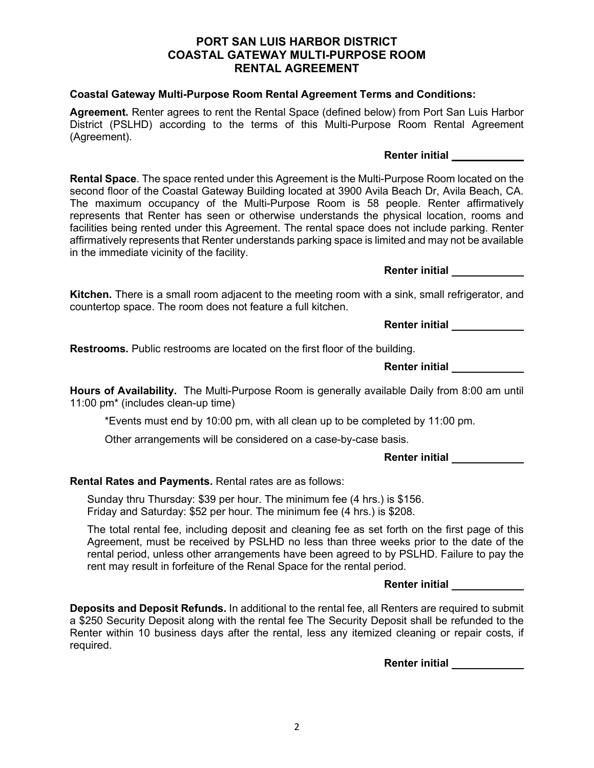# 2

#### **PORT SAN LUIS HARBOR DISTRICT COASTAL GATEWAY MULTI-PURPOSE ROOM RENTAL AGREEMENT**

#### **Coastal Gateway Multi-Purpose Room Rental Agreement Terms and Conditions:**

**Agreement.** Renter agrees to rent the Rental Space (defined below) from Port San Luis Harbor District (PSLHD) according to the terms of this Multi-Purpose Room Rental Agreement (Agreement).

#### **Renter initial**

**Rental Space**. The space rented under this Agreement is the Multi-Purpose Room located on the second floor of the Coastal Gateway Building located at 3900 Avila Beach Dr, Avila Beach, CA. The maximum occupancy of the Multi-Purpose Room is 58 people. Renter affirmatively represents that Renter has seen or otherwise understands the physical location, rooms and facilities being rented under this Agreement. The rental space does not include parking. Renter affirmatively represents that Renter understands parking space is limited and may not be available in the immediate vicinity of the facility.

**Renter initial** 

**Kitchen.** There is a small room adjacent to the meeting room with a sink, small refrigerator, and countertop space. The room does not feature a full kitchen.

**Renter initial** 

**Restrooms.** Public restrooms are located on the first floor of the building.

|  | <b>Renter initial</b> |  |
|--|-----------------------|--|
|  |                       |  |

**Hours of Availability.** The Multi-Purpose Room is generally available Daily from 8:00 am until 11:00 pm\* (includes clean-up time)

\*Events must end by 10:00 pm, with all clean up to be completed by 11:00 pm.

Other arrangements will be considered on a case-by-case basis.

**Renter initial** 

**Rental Rates and Payments.** Rental rates are as follows:

Sunday thru Thursday: \$39 per hour. The minimum fee (4 hrs.) is \$156. Friday and Saturday: \$52 per hour. The minimum fee (4 hrs.) is \$208.

The total rental fee, including deposit and cleaning fee as set forth on the first page of this Agreement, must be received by PSLHD no less than three weeks prior to the date of the rental period, unless other arrangements have been agreed to by PSLHD. Failure to pay the rent may result in forfeiture of the Renal Space for the rental period.

**Renter initial** 

**Deposits and Deposit Refunds.** In additional to the rental fee, all Renters are required to submit a \$250 Security Deposit along with the rental fee The Security Deposit shall be refunded to the Renter within 10 business days after the rental, less any itemized cleaning or repair costs, if required.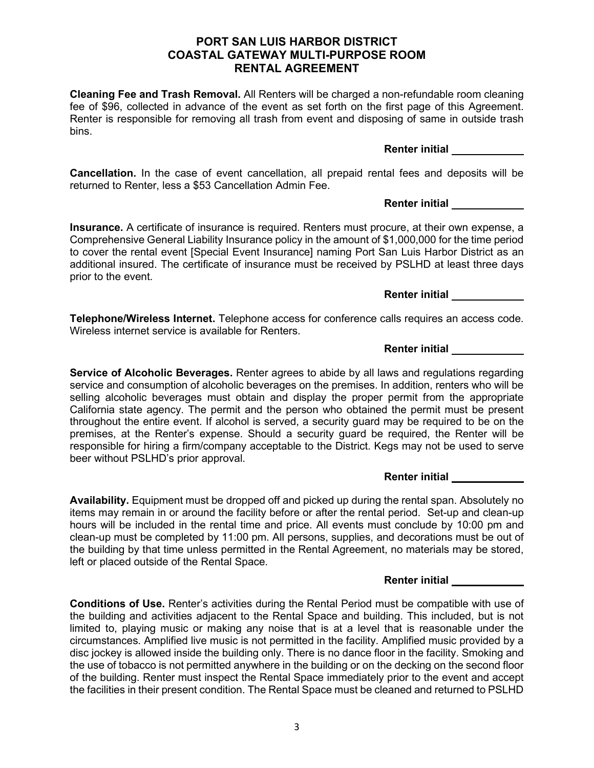#### **PORT SAN LUIS HARBOR DISTRICT COASTAL GATEWAY MULTI-PURPOSE ROOM RENTAL AGREEMENT**

**Cleaning Fee and Trash Removal.** All Renters will be charged a non-refundable room cleaning fee of \$96, collected in advance of the event as set forth on the first page of this Agreement. Renter is responsible for removing all trash from event and disposing of same in outside trash bins.

**Cancellation.** In the case of event cancellation, all prepaid rental fees and deposits will be returned to Renter, less a \$53 Cancellation Admin Fee.

**Insurance.** A certificate of insurance is required. Renters must procure, at their own expense, a Comprehensive General Liability Insurance policy in the amount of \$1,000,000 for the time period to cover the rental event [Special Event Insurance] naming Port San Luis Harbor District as an additional insured. The certificate of insurance must be received by PSLHD at least three days prior to the event.

**Telephone/Wireless Internet.** Telephone access for conference calls requires an access code. Wireless internet service is available for Renters.

**Service of Alcoholic Beverages.** Renter agrees to abide by all laws and regulations regarding service and consumption of alcoholic beverages on the premises. In addition, renters who will be selling alcoholic beverages must obtain and display the proper permit from the appropriate California state agency. The permit and the person who obtained the permit must be present throughout the entire event. If alcohol is served, a security guard may be required to be on the premises, at the Renter's expense. Should a security guard be required, the Renter will be responsible for hiring a firm/company acceptable to the District. Kegs may not be used to serve beer without PSLHD's prior approval.

**Availability.** Equipment must be dropped off and picked up during the rental span. Absolutely no items may remain in or around the facility before or after the rental period. Set-up and clean-up hours will be included in the rental time and price. All events must conclude by 10:00 pm and clean-up must be completed by 11:00 pm. All persons, supplies, and decorations must be out of the building by that time unless permitted in the Rental Agreement, no materials may be stored, left or placed outside of the Rental Space.

**Conditions of Use.** Renter's activities during the Rental Period must be compatible with use of the building and activities adjacent to the Rental Space and building. This included, but is not limited to, playing music or making any noise that is at a level that is reasonable under the circumstances. Amplified live music is not permitted in the facility. Amplified music provided by a disc jockey is allowed inside the building only. There is no dance floor in the facility. Smoking and the use of tobacco is not permitted anywhere in the building or on the decking on the second floor of the building. Renter must inspect the Rental Space immediately prior to the event and accept the facilities in their present condition. The Rental Space must be cleaned and returned to PSLHD

#### **Renter initial**

**Renter initial** 

**Renter initial** 

## **Renter initial**

**Renter initial**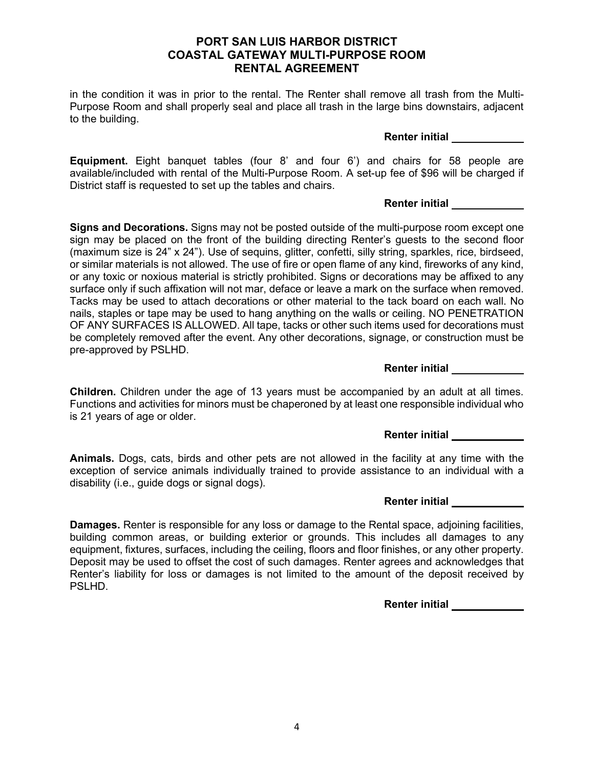#### **PORT SAN LUIS HARBOR DISTRICT COASTAL GATEWAY MULTI-PURPOSE ROOM RENTAL AGREEMENT**

in the condition it was in prior to the rental. The Renter shall remove all trash from the Multi-Purpose Room and shall properly seal and place all trash in the large bins downstairs, adjacent to the building.

**Renter initial** 

**Equipment.** Eight banquet tables (four 8' and four 6') and chairs for 58 people are available/included with rental of the Multi-Purpose Room. A set-up fee of \$96 will be charged if District staff is requested to set up the tables and chairs.

#### **Renter initial**

**Signs and Decorations.** Signs may not be posted outside of the multi-purpose room except one sign may be placed on the front of the building directing Renter's guests to the second floor (maximum size is 24" x 24"). Use of sequins, glitter, confetti, silly string, sparkles, rice, birdseed, or similar materials is not allowed. The use of fire or open flame of any kind, fireworks of any kind, or any toxic or noxious material is strictly prohibited. Signs or decorations may be affixed to any surface only if such affixation will not mar, deface or leave a mark on the surface when removed. Tacks may be used to attach decorations or other material to the tack board on each wall. No nails, staples or tape may be used to hang anything on the walls or ceiling. NO PENETRATION OF ANY SURFACES IS ALLOWED. All tape, tacks or other such items used for decorations must be completely removed after the event. Any other decorations, signage, or construction must be pre-approved by PSLHD.

**Renter initial** 

**Children.** Children under the age of 13 years must be accompanied by an adult at all times. Functions and activities for minors must be chaperoned by at least one responsible individual who is 21 years of age or older.

**Renter initial** 

**Animals.** Dogs, cats, birds and other pets are not allowed in the facility at any time with the exception of service animals individually trained to provide assistance to an individual with a disability (i.e., guide dogs or signal dogs).

#### **Renter initial**

**Damages.** Renter is responsible for any loss or damage to the Rental space, adjoining facilities, building common areas, or building exterior or grounds. This includes all damages to any equipment, fixtures, surfaces, including the ceiling, floors and floor finishes, or any other property. Deposit may be used to offset the cost of such damages. Renter agrees and acknowledges that Renter's liability for loss or damages is not limited to the amount of the deposit received by PSLHD.